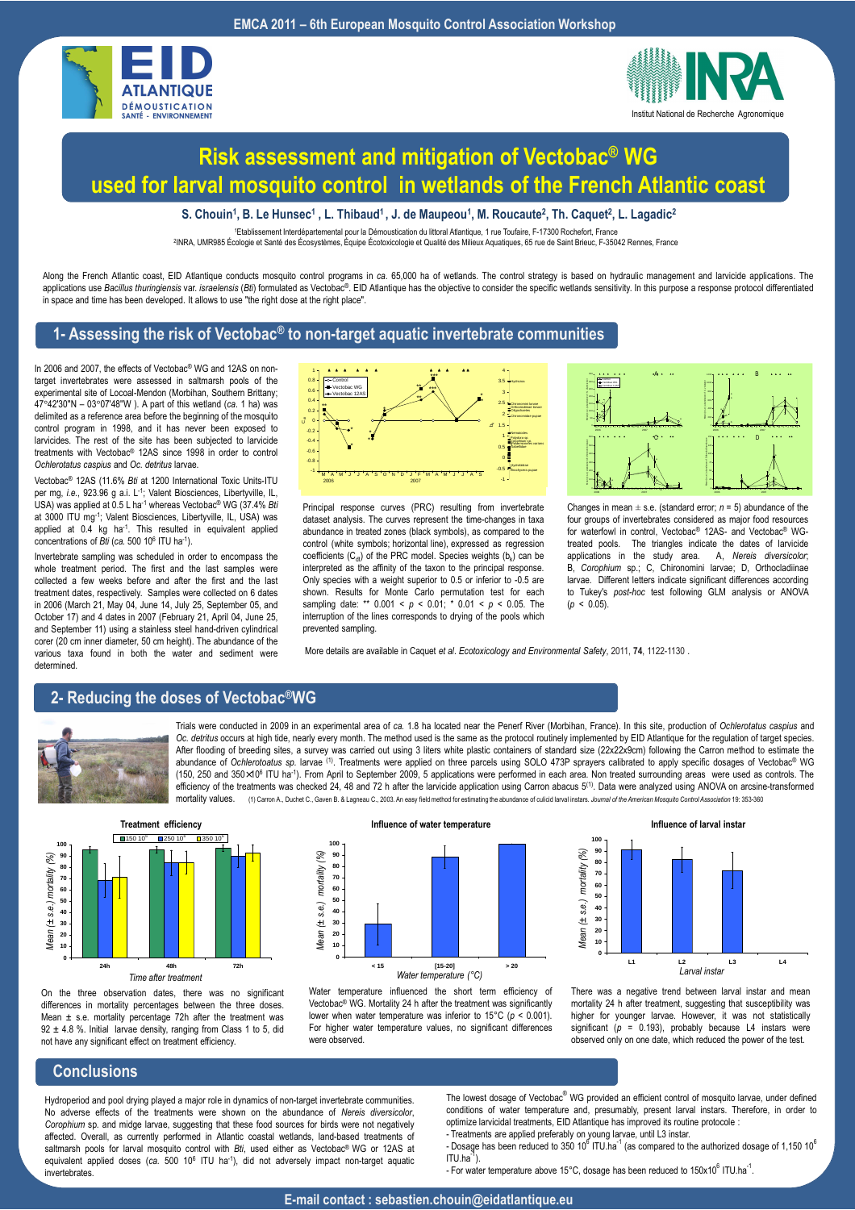



## **Risk assessment and mitigation of Vectobac® WG used for larval mosquito control in wetlands of the French Atlantic coast**

**S. Chouin<sup>1</sup> , B. Le Hunsec<sup>1</sup> , L. Thibaud<sup>1</sup>, J. de Maupeou<sup>1</sup> , M. Roucaute<sup>2</sup> , Th. Caquet<sup>2</sup> , L. Lagadic<sup>2</sup>**

<sup>1</sup>Etablissement Interdépartemental pour la Démoustication du littoral Atlantique, 1 rue Toufaire, F-17300 Rochefort, France

2 INRA, UMR985 Écologie et Santé des Écosystèmes, Équipe Écotoxicologie et Qualité des Milieux Aquatiques, 65 rue de Saint Brieuc, F-35042 Rennes, France

Along the French Atlantic coast, EID Atlantique conducts mosquito control programs in *ca.* 65,000 ha of wetlands. The control strategy is based on hydraulic management and larvicide applications. The applications use Bacillus thuringiensis var. israelensis (Bti) formulated as Vectobac®. EID Atlantique has the objective to consider the specific wetlands sensitivity. In this purpose a response protocol differentiated in space and time has been developed. It allows to use "the right dose at the right place".

#### **1- Assessing the risk of Vectobac® to non-target aquatic invertebrate communities**

In 2006 and 2007, the effects of Vectobac<sup>®</sup> WG and 12AS on nontarget invertebrates were assessed in saltmarsh pools of the experimental site of Locoal-Mendon (Morbihan, Southern Brittany; 47°42'30''N – 03°07'48''W ). A part of this wetland (*ca*. 1 ha) was delimited as a reference area before the beginning of the mosquito control program in 1998, and it has never been exposed to larvicides. The rest of the site has been subjected to larvicide treatments with Vectobac® 12AS since 1998 in order to control *Ochlerotatus caspius* and *Oc. detritus* larvae.

Vectobac® 12AS (11.6% *Bti* at 1200 International Toxic Units-ITU per mg, *i.e.*, 923.96 g a.i. L-1; Valent Biosciences, Libertyville, IL, USA) was applied at 0.5 L ha-1 whereas Vectobac® WG (37.4% *Bti* at 3000 ITU mg-1; Valent Biosciences, Libertyville, IL, USA) was applied at 0.4 kg ha<sup>-1</sup>. This resulted in equivalent applied concentrations of *Bti* (*ca.* 500 10<sup>6</sup> ITU ha-1).

Invertebrate sampling was scheduled in order to encompass the whole treatment period. The first and the last samples were collected a few weeks before and after the first and the last treatment dates, respectively. Samples were collected on 6 dates in 2006 (March 21, May 04, June 14, July 25, September 05, and October 17) and 4 dates in 2007 (February 21, April 04, June 25, and September 11) using a stainless steel hand-driven cylindrical corer (20 cm inner diameter, 50 cm height). The abundance of the various taxa found in both the water and sediment were determined.



Principal response curves (PRC) resulting from invertebrate dataset analysis. The curves represent the time-changes in taxa abundance in treated zones (black symbols), as compared to the control (white symbols; horizontal line), expressed as regression coefficients ( $C_{dt}$ ) of the PRC model. Species weights (b<sub>k</sub>) can be interpreted as the affinity of the taxon to the principal response. Only species with a weight superior to 0.5 or inferior to -0.5 are shown. Results for Monte Carlo permutation test for each sampling date: \*\* 0.001 < *p* < 0.01; \* 0.01 < *p* < 0.05. The interruption of the lines corresponds to drying of the pools which prevented sampling.



Changes in mean  $\pm$  s.e. (standard error;  $n = 5$ ) abundance of the four groups of invertebrates considered as major food resources for waterfowl in control, Vectobac® 12AS- and Vectobac® WGtreated pools. The triangles indicate the dates of larvicide applications in the study area. A, *Nereis diversicolor*; B, *Corophium* sp.; C, Chironomini larvae; D, Orthocladiinae larvae. Different letters indicate significant differences according to Tukey's *post-hoc* test following GLM analysis or ANOVA  $(p < 0.05)$ 

More details are available in Caquet *et al*. *Ecotoxicology and Environmental Safety*, 2011, **74**, 1122-1130 .

### **2- Reducing the doses of Vectobac®WG**



Trials were conducted in 2009 in an experimental area of *ca.* 1.8 ha located near the Penerf River (Morbihan, France). In this site, production of *Ochlerotatus caspius* and *Oc. detritus* occurs at high tide, nearly every month. The method used is the same as the protocol routinely implemented by EID Atlantique for the regulation of target species. After flooding of breeding sites, a survey was carried out using 3 liters white plastic containers of standard size (22x22x9cm) following the Carron method to estimate the abundance of *Ochlerotoatus sp.* larvae (1). Treatments were applied on three parcels using SOLO 473P sprayers calibrated to apply specific dosages of Vectobac® WG (150, 250 and 350×10<sup>6</sup> ITU ha-1). From April to September 2009, 5 applications were performed in each area. Non treated surrounding areas were used as controls. The efficiency of the treatments was checked 24, 48 and 72 h after the larvicide application using Carron abacus 5<sup>(1)</sup>. Data were analyzed using ANOVA on arcsine-transformed<br>mortality values (1) Carron A Duchat C. Gaugn B, 8. mortality values. (1) Carron A., Duchet C., Gaven B. & Lagneau C., 2003. An easy field method for estimating the abundance of culicid larval instars. *Journal of the American Mosquito Control Association* 19: 353-360



On the three observation dates, there was no significant differences in mortality percentages between the three doses. Mean  $\pm$  s.e. mortality percentage 72h after the treatment was 92 ± 4.8 %. Initial larvae density, ranging from Class 1 to 5, did not have any significant effect on treatment efficiency.







There was a negative trend between larval instar and mean mortality 24 h after treatment, suggesting that susceptibility was higher for younger larvae. However, it was not statistically significant  $(p = 0.193)$ , probably because L4 instars were observed only on one date, which reduced the power of the test.

### **Conclusions**

Hydroperiod and pool drying played a major role in dynamics of non-target invertebrate communities. No adverse effects of the treatments were shown on the abundance of *Nereis diversicolor*, *Corophium* sp*.* and midge larvae, suggesting that these food sources for birds were not negatively affected. Overall, as currently performed in Atlantic coastal wetlands, land-based treatments of saltmarsh pools for larval mosquito control with *Bti*, used either as Vectobac® WG or 12AS at equivalent applied doses (ca. 500 10<sup>6</sup> ITU ha<sup>-1</sup>), did not adversely impact non-target aquatic invertebrates.

The lowest dosage of Vectobac<sup>®</sup> WG provided an efficient control of mosquito larvae, under defined conditions of water temperature and, presumably, present larval instars. Therefore, in order to optimize larvicidal treatments, EID Atlantique has improved its routine protocole : - Treatments are applied preferably on young larvae, until L3 instar.

- Dosage has been reduced to 350 10<sup>6</sup> ITU.ha<sup>-1</sup> (as compared to the authorized dosage of 1,150 10<sup>6</sup>  $ITU$  ha $^3$ 

- For water temperature above 15°C, dosage has been reduced to 150x10 $^6$  ITU.ha<sup>-1</sup>.